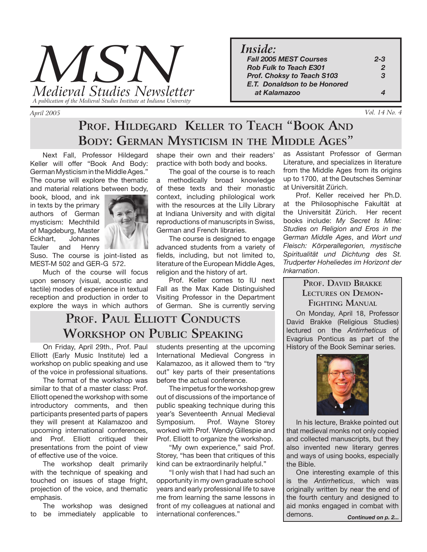

*April 2005* 

*Inside:*

| .                                   |                            |
|-------------------------------------|----------------------------|
| <b>Fall 2005 MEST Courses</b>       | $2 - 3$                    |
| <b>Rob Fulk to Teach E301</b>       | $\mathcal{P}$              |
| <b>Prof. Choksy to Teach S103</b>   | $\boldsymbol{\mathcal{R}}$ |
| <b>E.T.</b> Donaldson to be Honored |                            |
| at Kalamazoo                        |                            |
|                                     |                            |

*Vol. 14 No. 4*

# **PROF. HILDEGARD KELLER TO TEACH "BOOK AND BODY: GERMAN MYSTICISM IN THE MIDDLE AGES"**

 Next Fall, Professor Hildegard Keller will offer "Book And Body: German Mysticism in the Middle Ages." The course will explore the thematic and material relations between body,

book, blood, and ink in texts by the primary authors of German mysticism: Mechthild of Magdeburg, Master Eckhart, Johannes Tauler and Henry



Suso. The course is joint-listed as MEST-M 502 and GER-G 572.

 Much of the course will focus upon sensory (visual, acoustic and tactile) modes of experience in textual reception and production in order to explore the ways in which authors shape their own and their readers' practice with both body and books.

 The goal of the course is to reach a methodically broad knowledge of these texts and their monastic context, including philological work with the resources at the Lilly Library at Indiana University and with digital reproductions of manuscripts in Swiss, German and French libraries.

 The course is designed to engage advanced students from a variety of fields, including, but not limited to, literature of the European Middle Ages, religion and the history of art.

 Prof. Keller comes to IU next Fall as the Max Kade Distinguished Visiting Professor in the Department of German. She is currently serving

## **PROF. PAUL ELLIOTT CONDUCTS WORKSHOP ON PUBLIC SPEAKING**

 On Friday, April 29th., Prof. Paul Elliott (Early Music Institute) led a workshop on public speaking and use of the voice in professional situations.

 The format of the workshop was similar to that of a master class: Prof. Elliott opened the workshop with some introductory comments, and then participants presented parts of papers they will present at Kalamazoo and upcoming international conferences, and Prof. Elliott critiqued their presentations from the point of view of effective use of the voice.

 The workshop dealt primarily with the technique of speaking and touched on issues of stage fright, projection of the voice, and thematic emphasis.

 The workshop was designed to be immediately applicable to

students presenting at the upcoming International Medieval Congress in Kalamazoo, as it allowed them to "try out" key parts of their presentations before the actual conference.

 The impetus for the workshop grew out of discussions of the importance of public speaking technique during this year's Seventeenth Annual Medieval Symposium. Prof. Wayne Storey worked with Prof. Wendy Gillespie and Prof. Elliott to organize the workshop.

 "My own experience," said Prof. Storey, "has been that critiques of this kind can be extraordinarily helpful."

 "I only wish that I had had such an opportunity in my own graduate school years and early professional life to save me from learning the same lessons in front of my colleagues at national and

as Assistant Professor of German Literature, and specializes in literature from the Middle Ages from its origins up to 1700, at the Deutsches Seminar at Universität Zürich.

 Prof. Keller received her Ph.D. at the Philosophische Fakultät at the Universität Zürich. Her recent books include: *My Secret Is Mine: Studies on Religion and Eros in the German Middle Ages*, and *Wort und Fleisch: Körperallegorien, mystische Spiritualität und Dichtung des St. Trudperter Hoheliedes im Horizont der Inkarnation*.

#### **PROF. DAVID BRAKKE LECTURES ON DEMON-FIGHTING MANUAL**

On Monday, April 18, Professor David Brakke (Religious Studies) lectured on the *Antirrheticus* of Evagrius Ponticus as part of the History of the Book Seminar series.



 In his lecture, Brakke pointed out that medieval monks not only copied and collected manuscripts, but they also invented new literary genres and ways of using books, especially the Bible.

 One interesting example of this is the *Antirrheticus*, which was originally written by near the end of the fourth century and designed to aid monks engaged in combat with demons. international conferences." **Continued on p. 2... Continued on p. 2...**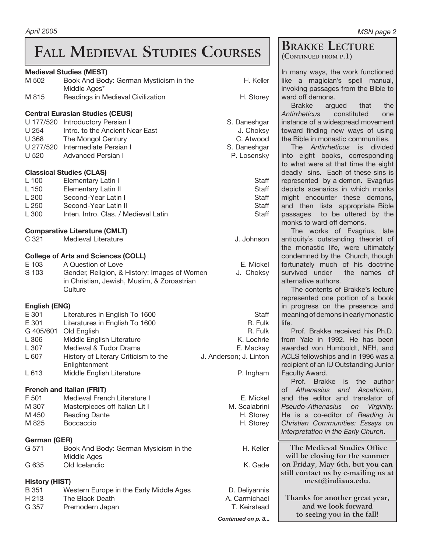# **FALL MEDIEVAL STUDIES COURSES**

#### **Medieval Studies (MEST)**

|                                           | <b>Medieval Studies (MEST)</b>                    |                        | Ir               |  |
|-------------------------------------------|---------------------------------------------------|------------------------|------------------|--|
| M 502                                     | Book And Body: German Mysticism in the            | H. Keller              | li               |  |
| M 815                                     | Middle Ages*<br>Readings in Medieval Civilization | H. Storey              | ir<br>V          |  |
|                                           | <b>Central Eurasian Studies (CEUS)</b>            |                        | A                |  |
| U 177/520                                 | Introductory Persian I                            | S. Daneshgar           | ir               |  |
| U 254                                     | Intro. to the Ancient Near East                   | J. Choksy              | t                |  |
| U 368                                     | The Mongol Century                                | C. Atwood              | tl               |  |
|                                           | U 277/520 Intermediate Persian I                  | S. Daneshgar           |                  |  |
| U 520                                     | <b>Advanced Persian I</b>                         | P. Losensky            | ir               |  |
|                                           |                                                   |                        | t                |  |
|                                           | <b>Classical Studies (CLAS)</b>                   |                        | d                |  |
| L 100                                     | Elementary Latin I                                | Staff                  | r                |  |
| L 150                                     | Elementary Latin II                               | Staff                  | d                |  |
| L200                                      | Second-Year Latin I                               | Staff                  | n                |  |
| L 250                                     | Second-Year Latin II                              | Staff                  | a                |  |
| L 300                                     | Inten. Intro. Clas. / Medieval Latin              | <b>Staff</b>           | p                |  |
| n<br><b>Comparative Literature (CMLT)</b> |                                                   |                        |                  |  |
| C 321                                     | Medieval Literature                               | J. Johnson             | a                |  |
|                                           |                                                   |                        | tl               |  |
|                                           | <b>College of Arts and Sciences (COLL)</b>        |                        | $\mathbf C$      |  |
| E 103                                     | A Question of Love                                | E. Mickel              | f                |  |
| S 103                                     | Gender, Religion, & History: Images of Women      | J. Choksy              | S                |  |
|                                           | in Christian, Jewish, Muslim, & Zoroastrian       |                        | a                |  |
|                                           | Culture                                           |                        | r                |  |
| English (ENG)                             |                                                   |                        | ir               |  |
| E 301                                     | Literatures in English To 1600                    | Staff                  | n                |  |
| E 301                                     | Literatures in English To 1600                    | R. Fulk                | li               |  |
| G 405/601                                 | Old English                                       | R. Fulk                |                  |  |
| L 306                                     | Middle English Literature                         | K. Lochrie             | fı               |  |
| L 307                                     | Medieval & Tudor Drama                            | E. Mackay              | a                |  |
| L 607                                     | History of Literary Criticism to the              | J. Anderson; J. Linton | A                |  |
|                                           | Enlightenment                                     |                        | r                |  |
| L 613                                     | Middle English Literature                         | P. Ingham              | F                |  |
| <b>French and Italian (FRIT)</b><br>O     |                                                   |                        |                  |  |
| F 501                                     | Medieval French Literature I                      | E. Mickel              | a                |  |
| M 307                                     | Masterpieces off Italian Lit I                    | M. Scalabrini          | F                |  |
| M 450                                     | <b>Reading Dante</b>                              | H. Storey              | H                |  |
| M 825                                     | Boccaccio                                         | H. Storey              | $\mathcal{C}$    |  |
|                                           |                                                   |                        | $\mathcal{L}$    |  |
| German (GER)                              |                                                   |                        |                  |  |
| G 571                                     | Book And Body: German Mysicism in the             | H. Keller              |                  |  |
|                                           | Middle Ages                                       |                        |                  |  |
| G 635                                     | Old Icelandic                                     | K. Gade                | $\mathbf C$<br>S |  |
| <b>History (HIST)</b>                     |                                                   |                        |                  |  |
| B 351                                     | Western Europe in the Early Middle Ages           | D. Deliyannis          |                  |  |
| H 213                                     | The Black Death                                   | A. Carmichael          |                  |  |
| G 357                                     | Premodern Japan                                   | T. Keirstead           |                  |  |

#### **BRAKKE LECTURE (CONTINUED FROM P.1)**

In many ways, the work functioned ke a magician's spell manual, invoking passages from the Bible to ard off demons.

 Brakke argued that the *Antirrheticus* constituted one istance of a widespread movement oward finding new ways of using ne Bible in monastic communities.

 The *Antirrheticus* is divided ito eight books, corresponding o what were at that time the eight eadly sins. Each of these sins is epresented by a demon. Evagrius epicts scenarios in which monks might encounter these demons, nd then lists appropriate Bible assages to be uttered by the monks to ward off demons.

 The works of Evagrius, late ntiquity's outstanding theorist of ne monastic life, were ultimately ondemned by the Church, though ortunately much of his doctrine urvived under the names of Iternative authors.

 The contents of Brakke's lecture epresented one portion of a book i progress on the presence and meaning of demons in early monastic fe.

 Prof. Brakke received his Ph.D. om Yale in 1992. He has been warded von Humboldt, NEH, and CLS fellowships and in 1996 was a ecipient of an IU Outstanding Junior aculty Award.

 Prof. Brakke is the author Athenasius and Asceticism, nd the editor and translator of *Pseudo-Athenasius on Virginity.*  le is a co-editor of *Reading in Christian Communities: Essays on Interpretation in the Early Church*.

**The Medieval Studies Office will be closing for the summer on Friday, May 6th, but you can still contact us by e-mailing us at mest@indiana.edu.** 

**Thanks for another great year, and we look forward to seeing you in the fall!**

*Continued on p. 3...*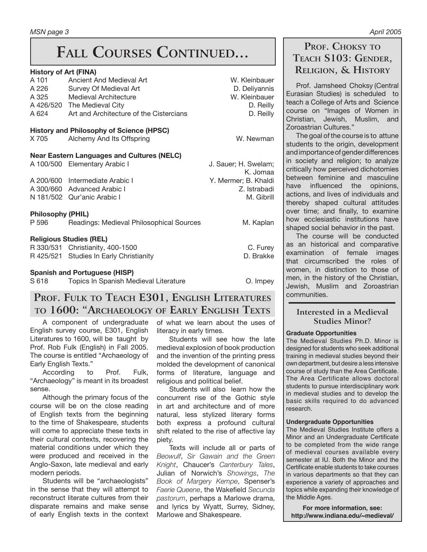#### **History of Art (FINA)**

| A 101<br>A 226<br>A 325<br>A 624  | Ancient And Medieval Art<br>Survey Of Medieval Art<br><b>Medieval Architecture</b><br>A 426/520 The Medieval City<br>Art and Architecture of the Cistercians | W. Kleinbauer<br>D. Deliyannis<br>W. Kleinbauer<br>D. Reilly<br>D. Reilly |
|-----------------------------------|--------------------------------------------------------------------------------------------------------------------------------------------------------------|---------------------------------------------------------------------------|
| X 705                             | <b>History and Philosophy of Science (HPSC)</b><br>Alchemy And Its Offspring                                                                                 | W. Newman                                                                 |
|                                   | <b>Near Eastern Languages and Cultures (NELC)</b><br>A 100/500 Elementary Arabic I                                                                           | J. Sauer; H. Swelam;<br>K. Jomaa                                          |
|                                   | A 200/600 Intermediate Arabic I<br>A 300/660 Advanced Arabic I<br>N 181/502 Qur'anic Arabic I                                                                | Y. Mermer; B. Khaldi<br>Z. Istrabadi<br>M. Gibrill                        |
| <b>Philosophy (PHIL)</b><br>P 596 | Readings: Medieval Philosophical Sources                                                                                                                     | M. Kaplan                                                                 |
|                                   | <b>Religious Studies (REL)</b><br>R 330/531 Christianity, 400-1500<br>R 425/521 Studies In Early Christianity                                                | C. Furey<br>D. Brakke                                                     |
| S 618                             | <b>Spanish and Portuguese (HISP)</b><br>Topics In Spanish Medieval Literature                                                                                | O. Impey                                                                  |

## **PROF. FULK TO TEACH E301, ENGLISH LITERATURES TO 1600: "ARCHAEOLOGY OF EARLY ENGLISH TEXTS**

A component of undergraduate English survey course, E301, English Literatures to 1600, will be taught by Prof. Rob Fulk (English) in Fall 2005. The course is entitled "Archaeology of Early English Texts."

 According to Prof. Fulk, "Archaeology" is meant in its broadest sense.

 Although the primary focus of the course will be on the close reading of English texts from the beginning to the time of Shakespeare, students will come to appreciate these texts in their cultural contexts, recovering the material conditions under which they were produced and received in the Anglo-Saxon, late medieval and early modern periods.

 Students will be "archaeologists" in the sense that they will attempt to reconstruct literate cultures from their disparate remains and make sense of early English texts in the context

of what we learn about the uses of literacy in early times.

 Students will see how the late medieval explosion of book production and the invention of the printing press molded the development of canonical forms of literature, language and religious and political belief.

 Students will also learn how the concurrent rise of the Gothic style in art and architecture and of more natural, less stylized literary forms both express a profound cultural shift related to the rise of affective lay piety.

 Texts will include all or parts of *Beowulf*, *Sir Gawain and the Green Knight*, Chaucer's *Canterbury Tales*, Julian of Norwich's *Showings*, *The Book of Margery Kempe*, Spenser's *Faerie Queene*, the Wakefield *Secunda pastorum*, perhaps a Marlowe drama, and lyrics by Wyatt, Surrey, Sidney, Marlowe and Shakespeare.

## **PROF. CHOKSY TO TEACH S103: GENDER, RELIGION, & HISTORY**

 Prof. Jamsheed Choksy (Central Eurasian Studies) is scheduled to teach a College of Arts and Science course on "Images of Women in Christian, Jewish, Muslim, and Zoroastrian Cultures."

 The goal of the course is to attune students to the origin, development and importance of gender differences in society and religion; to analyze

critically how perceived dichotomies between feminine and masculine have influenced the opinions, actions, and lives of individuals and thereby shaped cultural attitudes over time; and finally, to examine how ecclesiastic institutions have shaped social behavior in the past.

 The course will be conducted as an historical and comparative examination of female images that circumscribed the roles of women, in distinction to those of men, in the history of the Christian, Jewish, Muslim and Zoroastrian communities.

#### **Interested in a Medieval Studies Minor?**

#### **Graduate Opportunities**

The Medieval Studies Ph.D. Minor is designed for students who seek additional training in medieval studies beyond their own department, but desire a less intensive course of study than the Area Certificate. The Area Certificate allows doctoral students to pursue interdisciplinary work in medieval studies and to develop the basic skills required to do advanced research.

#### **Undergraduate Opportunities**

The Medieval Studies Institute offers a Minor and an Undergraduate Certificate to be completed from the wide range of medieval courses available every semester at IU. Both the Minor and the Certificate enable students to take courses in various departments so that they can experience a variety of approaches and topics while expanding their knowledge of the Middle Ages.

**For more information, see: http://www.indiana.edu/~medieval/**